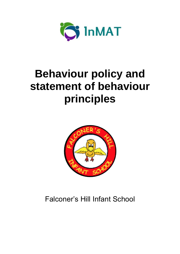

# **Behaviour policy and statement of behaviour principles**



## Falconer's Hill Infant School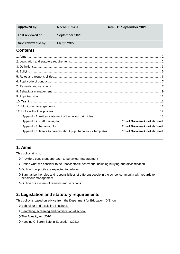| <b>Approved by:</b> | Rachel Edkins  | Date 01 <sup>st</sup> September 2021 |
|---------------------|----------------|--------------------------------------|
| Last reviewed on:   | September 2021 |                                      |
| Next review due by: | March 2022     |                                      |

## **Contents**

| Appendix 4: letters to parents about pupil behaviour - templates  Error! Bookmark not defined. |  |
|------------------------------------------------------------------------------------------------|--|
|                                                                                                |  |

## <span id="page-1-0"></span>**1. Aims**

This policy aims to:

- > Provide a consistent approach to behaviour management
- Define what we consider to be unacceptable behaviour, including bullying and discrimination
- > Outline how pupils are expected to behave
- Summarise the roles and responsibilities of different people in the school community with regards to behaviour management
- > Outline our system of rewards and sanctions

## <span id="page-1-1"></span>**2. Legislation and statutory requirements**

This policy is based on advice from the Department for Education (DfE) on:

- > [Behaviour and discipline in schools](https://www.gov.uk/government/publications/behaviour-and-discipline-in-schools)
- > [Searching, screening and confiscation at school](https://www.gov.uk/government/publications/searching-screening-and-confiscation)
- [The Equality Act 2010](https://www.gov.uk/government/publications/equality-act-2010-advice-for-schools)
- > [Keeping Children Safe in Education](https://www.gov.uk/government/publications/keeping-children-safe-in-education--2) (2021)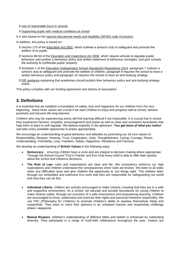- [Use of reasonable force in schools](https://www.gov.uk/government/publications/use-of-reasonable-force-in-schools)
- [Supporting pupils with medical conditions at school](https://www.gov.uk/government/publications/supporting-pupils-at-school-with-medical-conditions--3)

It is also based on the [special educational needs and disability \(SEND\) code of practice.](https://www.gov.uk/government/publications/send-code-of-practice-0-to-25)

In addition, this policy is based on:

- Section 175 of the [Education Act 2002,](http://www.legislation.gov.uk/ukpga/2002/32/section/175) which outlines a school's duty to safeguard and promote the welfare of its pupils
- Sections 88-94 of the [Education and Inspections Act 2006,](http://www.legislation.gov.uk/ukpga/2006/40/section/88) which require schools to regulate pupils' behaviour and publish a behaviour policy and written statement of behaviour principles, and give schools the authority to confiscate pupils' property
- Schedule 1 of the [Education \(Independent School Standards\) Regulations 2014;](http://www.legislation.gov.uk/uksi/2014/3283/schedule/made) paragraph 7 outlines a school's duty to safeguard and promote the welfare of children, paragraph 9 requires the school to have a written behaviour policy and paragraph 10 requires the school to have an anti-bullying strategy
- [DfE guidance](https://www.gov.uk/guidance/what-academies-free-schools-and-colleges-should-publish-online#behaviour-policy) explaining that academies should publish their behaviour policy and anti-bullying strategy online

This policy complies with our funding agreement and articles of association.

## <span id="page-2-0"></span>**3. Definitions**

It is essential that we establish a foundation of safety, love and happiness for our children from the very beginning - these three values are crucial if we want children to enjoy and progress well at school, behave positively and become life-long learners.

Children who may be experiencing stress will find learning difficult if not impossible. It is crucial that in school they experience fairness, empathy, encouragement and praise as well as clear and consistent boundaries that help them to learn to self-regulate. We believe explicitly in the aphorism: '*You get more of what you notice'* and take every available opportunity to praise appropriately.

We encourage an understanding of good behaviour and attitudes by promoting our 18 core values of: Responsibility, Respect, Honesty, Trust, Cooperation, Unity, Thoughtfulness, Caring, Courage, Peace, Understanding, Friendship, Love, Freedom, Safety, Happiness, Resilience and Fairness.

We develop an understanding of **British Values** in the following ways:

- **Democracy** ensuring children have a voice and are integral to decision making where appropriate. Through the School Council 'Fizz's Friends' and Eco Club every child is able to offer their opinion about the school and influence decisions.
- **The Rule of Law** rules and expectations are clear and fair. We consistency reinforce our high expectations and children understand the consequences when rules are broken. We listen to all sides when any difficulties arise and give children the opportunity to 'put things right'. The children learn through our embedded and extensive Eco work that they are responsible for safeguarding our world and how they can do this.
- **Individual Liberty** children are actively encouraged to make choices, knowing that they are in a safe and supportive environment. As a school, we educate and provide boundaries for young children to make choices safely, through our provision of a safe environment and empowering teaching. Children are encouraged to know, understand and exercise their rights and personal freedoms responsibly. We use P4C (Philosophy for Children) to promote children's ability to express themselves freely and respectfully. They learn to voice their opinions in an unbiased manner and respectfully challenge others' viewpoints.
- **Mutual Respect** children's understanding of different faiths and beliefs is enhanced by celebrating diversity. They participate in a range of multi-faith celebrations throughout the year. Visitors are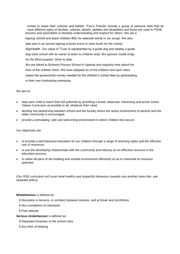invited to share their cultures and beliefs. 'Fizz's Friends' include a group of persona dolls that all have different types of families, cultures, beliefs, abilities and disabilities and these are used in PSHE lessons and assemblies to develop understanding and respect for others. We are a 'signing' school and teach children BSL for selected words in our songs. We also take part in an annual signing schools event to raise funds for the charity SignHealth. Our value of 'Trust' is represented by a guide dog and weekly a guide dog visits school with its owner to listen to children read. We sponsor Guide Dogs for the Blind puppies- three to date. We are linked to Buhoma Primary School in Uganda and regularly hear about the lives of the children there. We have adopted six of the children and each class raises the sponsorship money needed for the children's school fees by participating in their own fundraising enterprise.

#### We aim to:

- help each child to reach their full potential by providing a broad, balanced, interesting and active Green Values Curriculum accessible to all, whatever their need.
- develop the partnership between school and the locality where the active involvement of parents and the wider community is encouraged.
- provide a stimulating, safe and welcoming environment in which children feel secure

#### Our objectives are:

- to provide a well balanced education for our children through a range of teaching styles and the effective use of resources.
- to use the developing relationships with the community and industry as an effective resource in the education process.
- to utilise all parts of the building and outside environment efficiently so as to maximise its resource potential.

(Our RSE curriculum will cover what healthy and respectful behaviour towards one another looks like- see separate policy)

#### **Misbehaviour** is defined as:

- Disruption in lessons, in corridors between lessons, and at break and lunchtimes
- Non-completion of classwork
- > Poor attitude
- **Serious misbehaviour** is defined as:
	- > Repeated breaches of the school rules
	- Any form of bullying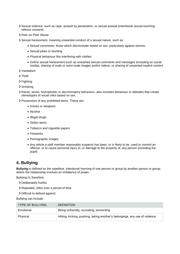- Sexual violence, such as rape, assault by penetration, or sexual assault (intentional sexual touching without consent)
- > Peer on Peer Abuse
- Sexual harassment, meaning unwanted conduct of a sexual nature, such as:
	- Sexual comments- those which discriminate based on sex, particularly against women.
	- Sexual jokes or taunting
	- Physical behaviour like interfering with clothes
	- Online sexual harassment such as unwanted sexual comments and messages (including on social media), sharing of nude or semi-nude images and/or videos, or sharing of unwanted explicit content
- Vandalism
- > Theft
- > Fighting
- > Smoking
- Racist, sexist, homophobic or discriminatory behaviour- also includes behaviour or attitudes that create stereotypes of social roles based on sex.
- Possession of any prohibited items. These are:
	- Knives or weapons
	- Alcohol
	- Illegal drugs
	- Stolen items
	- Tobacco and cigarette papers
	- Fireworks
	- Pornographic images
	- Any article a staff member reasonably suspects has been, or is likely to be, used to commit an offence, or to cause personal injury to, or damage to the property of, any person (including the pupil)

## <span id="page-4-0"></span>**4. Bullying**

**Bullying** is defined as the repetitive, intentional harming of one person or group by another person or group, where the relationship involves an imbalance of power.

Bullying is, therefore:

- Deliberately hurtful
- > Repeated, often over a period of time
- > Difficult to defend against

Bullying can include:

| <b>TYPE OF BULLYING</b> | <b>DEFINITION</b>                                                           |
|-------------------------|-----------------------------------------------------------------------------|
| Emotional               | Being unfriendly, excluding, tormenting                                     |
| Physical                | Hitting, kicking, pushing, taking another's belongings, any use of violence |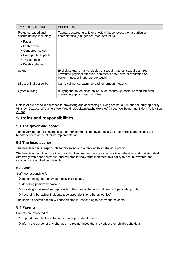| <b>TYPE OF BULLYING</b>                                                                                                  | <b>DEFINITION</b>                                                                                                                                                                   |
|--------------------------------------------------------------------------------------------------------------------------|-------------------------------------------------------------------------------------------------------------------------------------------------------------------------------------|
| Prejudice-based and<br>discriminatory, including:                                                                        | Taunts, gestures, graffiti or physical abuse focused on a particular<br>characteristic (e.g. gender, race, sexuality)                                                               |
| $\bullet$ Racial<br>• Faith-based<br>• Gendered (sexist)<br>• Homophobic/biphobic<br>• Transphobic<br>• Disability-based |                                                                                                                                                                                     |
| Sexual                                                                                                                   | Explicit sexual remarks, display of sexual material, sexual gestures,<br>unwanted physical attention, comments about sexual reputation or<br>performance, or inappropriate touching |
| Direct or indirect verbal                                                                                                | Name-calling, sarcasm, spreading rumours, teasing                                                                                                                                   |
| Cyber-bullying                                                                                                           | Bullying that takes place online, such as through social networking sites,<br>messaging apps or gaming sites                                                                        |

Details of our school's approach to preventing and addressing bullying are set out in our anti-bullying policy- [\\fhis-svr-001\users\Teachers\Work\redkins\Desktop\Rachel\Policies\Values Wellbeing and Safety Policy Sep](../../../../redkins/Desktop/Rachel/Policies/Values%20Wellbeing%20and%20Safety%20Policy%20Sep%2021.doc)  [21.doc](../../../../redkins/Desktop/Rachel/Policies/Values%20Wellbeing%20and%20Safety%20Policy%20Sep%2021.doc)

## <span id="page-5-0"></span>**5. Roles and responsibilities**

## **5.1 The governing board**

The governing board is responsible for monitoring this behaviour policy's effectiveness and holding the headteacher to account for its implementation.

## **5.2 The headteacher**

The headteacher is responsible for reviewing and approving this behaviour policy.

The headteacher will ensure that the school environment encourages positive behaviour and that staff deal effectively with poor behaviour, and will monitor how staff implement this policy to ensure rewards and sanctions are applied consistently.

## **5.3 Staff**

Staff are responsible for:

- Implementing the behaviour policy consistently
- Modelling positive behaviour
- Providing a personalised approach to the specific behavioural needs of particular pupils
- Recording behaviour incidents (see appendix 3 for a behaviour log)

The senior leadership team will support staff in responding to behaviour incidents.

#### **5.4 Parents**

Parents are expected to:

- Support their child in adhering to the pupil code of conduct
- Inform the school of any changes in circumstances that may affect their child's behaviour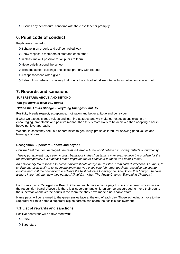Discuss any behavioural concerns with the class teacher promptly

## <span id="page-6-0"></span>**6. Pupil code of conduct**

Pupils are expected to:

- > Behave in an orderly and self-controlled way
- Show respect to members of staff and each other
- In class, make it possible for all pupils to learn
- Move quietly around the school
- > Treat the school buildings and school property with respect
- > Accept sanctions when given
- Refrain from behaving in a way that brings the school into disrepute, including when outside school

## <span id="page-6-1"></span>**7. Rewards and sanctions**

#### **SUPERSTARS: ABOVE AND BEYOND**

#### *You get more of what you notice*

#### *'When the Adults Change, Everything Changes' Paul Dix*

Positivity breeds respect, acceptance, motivation and better attitude and behaviour

If what we expect is good values and learning attitudes and we make our expectations clear in an encouraging, empathetic and positive manner then this is more likely to be achieved than adopting a harsh, heavy punitive approach.

We should constantly seek out opportunities to genuinely, praise children- for showing good values and learning attitudes.

#### **Recognition Superstars – above and beyond**

*How we treat the most damaged, the most vulnerable & the worst behaved in society reflects our humanity.*

*'Heavy punishment may seem to crush behaviour in the short term, it may even remove the problem for the teacher temporarily, but it doesn't teach improved future behaviour to those who need it most'.*

*An emotionally led response to bad behaviour should always be resisted. From calm distractions & humour; to smiling enthusiastically to let everyone know that you enjoy your job, great teachers recognise the counterintuitive and shift their behaviour to achieve the best outcome for everyone. They know that how you behave is more important than how they behave.' (Paul Dix, When The Adults Change, Everything Changes.')* 

Each class has a '**Recognition Board'**. Children each have a name peg- this sits on a green smiley face on the recognition board. Above this there is a 'superstar' and children can be encouraged to move their peg to the superstar whenever the adults in the room feel they have made a noticeable effort.

Name pegs will be returned to the green smiley face at the end of each day. Those achieving a move to the Superstar will take home a superstar slip so parents can share their child's achievement.

#### **7.1 List of rewards and sanctions**

Positive behaviour will be rewarded with:

- > Praise
- > Superstars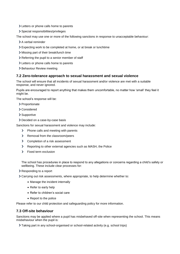- Letters or phone calls home to parents
- > Special responsibilities/privileges

The school may use one or more of the following sanctions in response to unacceptable behaviour:

- > A verbal reminder
- Expecting work to be completed at home, or at break or lunchtime
- Missing part of their break/lunch time
- > Referring the pupil to a senior member of staff
- Letters or phone calls home to parents
- > Behaviour Review meeting

#### **7.2 Zero-tolerance approach to sexual harassment and sexual violence**

The school will ensure that all incidents of sexual harassment and/or violence are met with a suitable response, and never ignored.

Pupils are encouraged to report anything that makes them uncomfortable, no matter how 'small' they feel it might be.

The school's response will be:

- > Proportionate
- Considered
- > Supportive
- > Decided on a case-by-case basis

Sanctions for sexual harassment and violence may include:

- > Phone calls and meeting with parents
- > Removal from the classroom/peers
- > Completion of a risk assessment
- Reporting to other external agencies such as MASH, the Police
- > Fixed term exclusion

The school has procedures in place to respond to any allegations or concerns regarding a child's safety or wellbeing. These include clear processes for:

- Responding to a report
- Carrying out risk assessments, where appropriate, to help determine whether to:
	- Manage the incident internally
	- Refer to early help
	- Refer to children's social care
	- Report to the police

Please refer to our child protection and safeguarding policy for more information.

#### **7.3 Off-site behaviour**

Sanctions may be applied where a pupil has misbehaved off-site when representing the school. This means misbehaviour when the pupil is:

Taking part in any school-organised or school-related activity (e.g. school trips)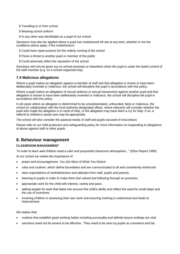> Travelling to or from school

- Wearing school uniform
- In any other way identifiable as a pupil of our school

Sanctions may also be applied where a pupil has misbehaved off-site at any time, whether or not the conditions above apply, if the misbehaviour:

- Could have repercussions for the orderly running of the school
- Poses a threat to another pupil or member of the public
- Could adversely affect the reputation of the school

Sanctions will only be given out on school premises or elsewhere when the pupil is under the lawful control of the staff member (e.g. on a school-organised trip).

#### **7.4 Malicious allegations**

Where a pupil makes an allegation against a member of staff and that allegation is shown to have been deliberately invented or malicious, the school will discipline the pupil in accordance with this policy.

Where a pupil makes an allegation of sexual violence or sexual harassment against another pupil and that allegation is shown to have been deliberately invented or malicious, the school will discipline the pupil in accordance with this policy.

In all cases where an allegation is determined to be unsubstantiated, unfounded, false or malicious, the school (in collaboration with the local authority designated officer, where relevant) will consider whether the pupil who made the allegation is in need of help, or the allegation may have been a cry for help. If so, a referral to children's social care may be appropriate.

The school will also consider the pastoral needs of staff and pupils accused of misconduct.

Please refer to our child protection and safeguarding policy for more information on responding to allegations of abuse against staff or other pupils.

## <span id="page-8-0"></span>**8. Behaviour management**

#### **CLASSROOM MANAGEMENT**

*"In order to learn well children need a calm and purposeful classroom atmosphere..."* (Elton Report 1989)

At our school we realise the importance of:

- praise and encouragement: *You Get More of What You Notice!*
- rules and routines, which define boundaries and are communicated to all and consistently reinforced.
- clear expectations of work/behaviour and attitudes from staff, pupils and parents.
- listening to pupils in order to make them feel valued and following through on promises.
- appropriate work for the child with interest, variety and pace.
- setting targets for work that takes into account the child's ability and reflect the need for small steps and the use of incentives.
- involving children in assessing their own work and ensuring marking is understood and leads to improvement.

We realise that:

- routines that establish good working habits including punctuality and definite lesson endings are vital.
- sanctions need not be severe to be effective. They need to be seen by pupils as consistent and fair.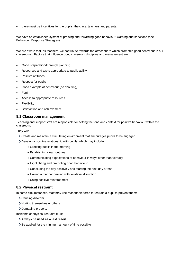there must be incentives for the pupils, the class, teachers and parents.

We have an established system of praising and rewarding good behaviour, warning and sanctions (see Behaviour Response Strategies).

We are aware that, as teachers, we contribute towards the atmosphere which promotes good behaviour in our classrooms. Factors that influence good classroom discipline and management are:

- Good preparation/thorough planning
- Resources and tasks appropriate to pupils ability
- Positive attitudes
- Respect for pupils
- Good example of behaviour (no shouting)
- Fun!
- Access to appropriate resources
- **Flexibility**
- Satisfaction and achievement

#### **8.1 Classroom management**

Teaching and support staff are responsible for setting the tone and context for positive behaviour within the classroom.

They will:

- Create and maintain a stimulating environment that encourages pupils to be engaged
- Develop a positive relationship with pupils, which may include:
	- Greeting pupils in the morning
	- Establishing clear routines
	- Communicating expectations of behaviour in ways other than verbally
	- Highlighting and promoting good behaviour
	- Concluding the day positively and starting the next day afresh
	- Having a plan for dealing with low-level disruption
	- Using positive reinforcement

#### **8.2 Physical restraint**

In some circumstances, staff may use reasonable force to restrain a pupil to prevent them:

- Causing disorder
- > Hurting themselves or others
- > Damaging property

Incidents of physical restraint must:

- **Always be used as a last resort**
- > Be applied for the minimum amount of time possible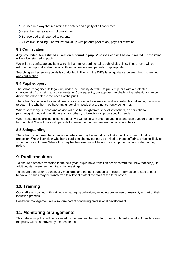- Be used in a way that maintains the safety and dignity of all concerned
- Never be used as a form of punishment
- > Be recorded and reported to parents
- A Positive Handling Plan will be drawn up with parents prior to any physical restraint

#### **8.3 Confiscation**

**Any prohibited items (listed in section 3) found in pupils' possession will be confiscated.** These items will not be returned to pupils.

We will also confiscate any item which is harmful or detrimental to school discipline. These items will be returned to pupils after discussion with senior leaders and parents, if appropriate.

Searching and screening pupils is conducted in line with the DfE's [latest guidance on searching, screening](https://www.gov.uk/government/publications/searching-screening-and-confiscation)  [and confiscation.](https://www.gov.uk/government/publications/searching-screening-and-confiscation)

#### **8.4 Pupil support**

The school recognises its legal duty under the Equality Act 2010 to prevent pupils with a protected characteristic from being at a disadvantage. Consequently, our approach to challenging behaviour may be differentiated to cater to the needs of the pupil.

The school's special educational needs co-ordinator will evaluate a pupil who exhibits challenging behaviour to determine whether they have any underlying needs that are not currently being met.

Where necessary, support and advice will also be sought from specialist teachers, an educational psychologist, medical practitioners and/or others, to identify or support specific needs.

When acute needs are identified in a pupil, we will liaise with external agencies and plan support programmes for that child. We will work with parents to create the plan and review it on a regular basis.

#### **8.5 Safeguarding**

The school recognises that changes in behaviour may be an indicator that a pupil is in need of help or protection. We will consider whether a pupil's misbehaviour may be linked to them suffering, or being likely to suffer, significant harm. Where this may be the case, we will follow our child protection and safeguarding policy.

## <span id="page-10-0"></span>**9. Pupil transition**

To ensure a smooth transition to the next year, pupils have transition sessions with their new teacher(s). In addition, staff members hold transition meetings.

To ensure behaviour is continually monitored and the right support is in place, information related to pupil behaviour issues may be transferred to relevant staff at the start of the term or year.

## <span id="page-10-1"></span>**10. Training**

Our staff are provided with training on managing behaviour, including proper use of restraint, as part of their induction process.

Behaviour management will also form part of continuing professional development.

## <span id="page-10-2"></span>**11. Monitoring arrangements**

This behaviour policy will be reviewed by the headteacher and full governing board annually. At each review, the policy will be approved by the headteacher.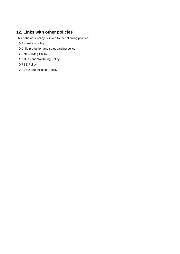## <span id="page-11-0"></span>**12. Links with other policies**

This behaviour policy is linked to the following policies:

- > Exclusions policy
- Child protection and safeguarding policy
- > Anti-Bullying Policy
- Values and Wellbeing Policy
- > RSE Policy
- > SEND and Inclusion Policy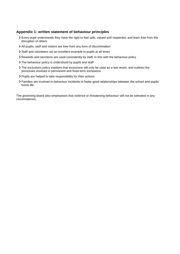#### <span id="page-12-0"></span>**Appendix 1: written statement of behaviour principles**

- Every pupil understands they have the right to feel safe, valued and respected, and learn free from the disruption of others
- All pupils, staff and visitors are free from any form of discrimination
- Staff and volunteers set an excellent example to pupils at all times
- Rewards and sanctions are used consistently by staff, in line with the behaviour policy
- > The behaviour policy is understood by pupils and staff
- The exclusions policy explains that exclusions will only be used as a last resort, and outlines the processes involved in permanent and fixed-term exclusions
- Pupils are helped to take responsibility for their actions
- Families are involved in behaviour incidents to foster good relationships between the school and pupils' home life

The governing board also emphasises that violence or threatening behaviour will not be tolerated in any circumstances.